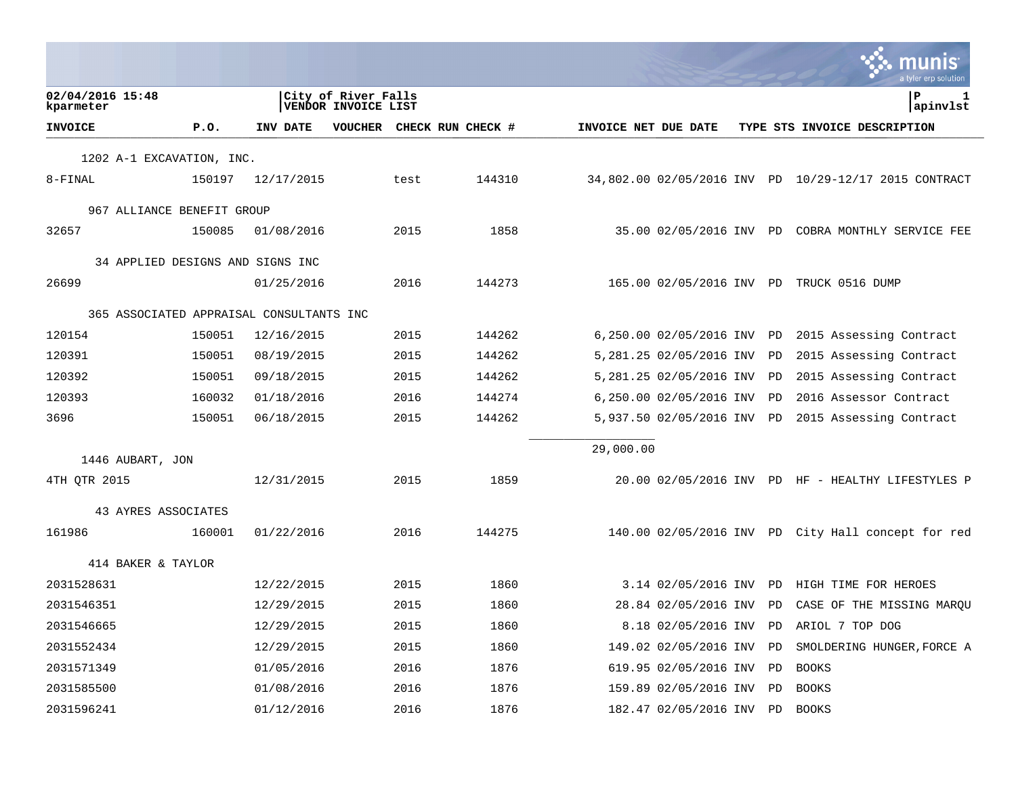|                                          |        |            |                                            |      |                   |                      |                            |    | a tyler erp solution                                  |
|------------------------------------------|--------|------------|--------------------------------------------|------|-------------------|----------------------|----------------------------|----|-------------------------------------------------------|
| 02/04/2016 15:48<br>kparmeter            |        |            | City of River Falls<br>VENDOR INVOICE LIST |      |                   |                      |                            |    | ΙP<br>1<br>apinvlst                                   |
| <b>INVOICE</b>                           | P.0.   | INV DATE   | VOUCHER                                    |      | CHECK RUN CHECK # | INVOICE NET DUE DATE |                            |    | TYPE STS INVOICE DESCRIPTION                          |
| 1202 A-1 EXCAVATION, INC.                |        |            |                                            |      |                   |                      |                            |    |                                                       |
| 8-FINAL                                  | 150197 | 12/17/2015 |                                            | test | 144310            |                      |                            |    | 34,802.00 02/05/2016 INV PD 10/29-12/17 2015 CONTRACT |
| 967 ALLIANCE BENEFIT GROUP               |        |            |                                            |      |                   |                      |                            |    |                                                       |
| 32657                                    | 150085 | 01/08/2016 |                                            | 2015 | 1858              |                      |                            |    | 35.00 02/05/2016 INV PD COBRA MONTHLY SERVICE FEE     |
| 34 APPLIED DESIGNS AND SIGNS INC         |        |            |                                            |      |                   |                      |                            |    |                                                       |
| 26699                                    |        | 01/25/2016 |                                            | 2016 | 144273            |                      |                            |    | 165.00 02/05/2016 INV PD TRUCK 0516 DUMP              |
| 365 ASSOCIATED APPRAISAL CONSULTANTS INC |        |            |                                            |      |                   |                      |                            |    |                                                       |
| 120154                                   | 150051 | 12/16/2015 |                                            | 2015 | 144262            |                      | 6,250.00 02/05/2016 INV    | PD | 2015 Assessing Contract                               |
| 120391                                   | 150051 | 08/19/2015 |                                            | 2015 | 144262            |                      | 5,281.25 02/05/2016 INV    | PD | 2015 Assessing Contract                               |
| 120392                                   | 150051 | 09/18/2015 |                                            | 2015 | 144262            |                      | 5,281.25 02/05/2016 INV    | PD | 2015 Assessing Contract                               |
| 120393                                   | 160032 | 01/18/2016 |                                            | 2016 | 144274            |                      | 6,250.00 02/05/2016 INV    | PD | 2016 Assessor Contract                                |
| 3696                                     | 150051 | 06/18/2015 |                                            | 2015 | 144262            |                      | 5,937.50 02/05/2016 INV PD |    | 2015 Assessing Contract                               |
|                                          |        |            |                                            |      |                   | 29,000.00            |                            |    |                                                       |
| 1446 AUBART, JON                         |        |            |                                            |      |                   |                      |                            |    |                                                       |
| 4TH QTR 2015                             |        | 12/31/2015 |                                            | 2015 | 1859              |                      |                            |    | 20.00 02/05/2016 INV PD HF - HEALTHY LIFESTYLES P     |
| 43 AYRES ASSOCIATES                      |        |            |                                            |      |                   |                      |                            |    |                                                       |
| 161986                                   | 160001 | 01/22/2016 |                                            | 2016 | 144275            |                      |                            |    | 140.00 02/05/2016 INV PD City Hall concept for red    |
| 414 BAKER & TAYLOR                       |        |            |                                            |      |                   |                      |                            |    |                                                       |
| 2031528631                               |        | 12/22/2015 |                                            | 2015 | 1860              |                      | 3.14 02/05/2016 INV        | PD | HIGH TIME FOR HEROES                                  |
| 2031546351                               |        | 12/29/2015 |                                            | 2015 | 1860              |                      | 28.84 02/05/2016 INV       | PD | CASE OF THE MISSING MARQU                             |
| 2031546665                               |        | 12/29/2015 |                                            | 2015 | 1860              |                      | 8.18 02/05/2016 INV        | PD | ARIOL 7 TOP DOG                                       |
| 2031552434                               |        | 12/29/2015 |                                            | 2015 | 1860              |                      | 149.02 02/05/2016 INV      | PD | SMOLDERING HUNGER, FORCE A                            |
| 2031571349                               |        | 01/05/2016 |                                            | 2016 | 1876              |                      | 619.95 02/05/2016 INV      | PD | <b>BOOKS</b>                                          |
| 2031585500                               |        | 01/08/2016 |                                            | 2016 | 1876              |                      | 159.89 02/05/2016 INV      | PD | <b>BOOKS</b>                                          |
| 2031596241                               |        | 01/12/2016 |                                            | 2016 | 1876              |                      | 182.47 02/05/2016 INV      | PD | <b>BOOKS</b>                                          |

**College**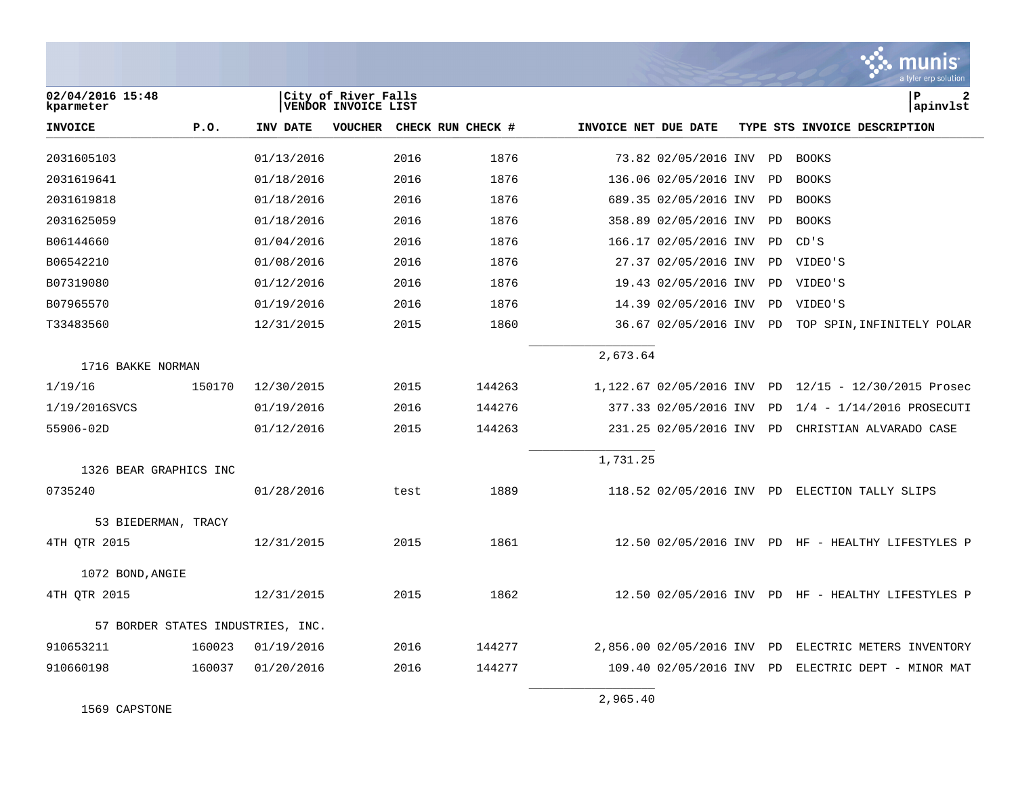|                               |        |                                   |                                            |      |                   |                      |                         |    | munis<br>a tyler erp solution                        |
|-------------------------------|--------|-----------------------------------|--------------------------------------------|------|-------------------|----------------------|-------------------------|----|------------------------------------------------------|
| 02/04/2016 15:48<br>kparmeter |        |                                   | City of River Falls<br>VENDOR INVOICE LIST |      |                   |                      |                         |    | P<br>2<br>apinvlst                                   |
| <b>INVOICE</b>                | P.0.   | INV DATE                          | <b>VOUCHER</b>                             |      | CHECK RUN CHECK # | INVOICE NET DUE DATE |                         |    | TYPE STS INVOICE DESCRIPTION                         |
| 2031605103                    |        | 01/13/2016                        |                                            | 2016 | 1876              |                      | 73.82 02/05/2016 INV    | PD | <b>BOOKS</b>                                         |
| 2031619641                    |        | 01/18/2016                        |                                            | 2016 | 1876              |                      | 136.06 02/05/2016 INV   | PD | <b>BOOKS</b>                                         |
| 2031619818                    |        | 01/18/2016                        |                                            | 2016 | 1876              |                      | 689.35 02/05/2016 INV   | PD | <b>BOOKS</b>                                         |
| 2031625059                    |        | 01/18/2016                        |                                            | 2016 | 1876              |                      | 358.89 02/05/2016 INV   | PD | <b>BOOKS</b>                                         |
| B06144660                     |        | 01/04/2016                        |                                            | 2016 | 1876              |                      | 166.17 02/05/2016 INV   | PD | CD'S                                                 |
| B06542210                     |        | 01/08/2016                        |                                            | 2016 | 1876              |                      | 27.37 02/05/2016 INV    | PD | VIDEO'S                                              |
| B07319080                     |        | 01/12/2016                        |                                            | 2016 | 1876              |                      | 19.43 02/05/2016 INV    | PD | VIDEO'S                                              |
| B07965570                     |        | 01/19/2016                        |                                            | 2016 | 1876              |                      | 14.39 02/05/2016 INV    | PD | VIDEO'S                                              |
| T33483560                     |        | 12/31/2015                        |                                            | 2015 | 1860              |                      | 36.67 02/05/2016 INV PD |    | TOP SPIN, INFINITELY POLAR                           |
|                               |        |                                   |                                            |      |                   | 2,673.64             |                         |    |                                                      |
| 1716 BAKKE NORMAN             |        |                                   |                                            |      |                   |                      |                         |    |                                                      |
| 1/19/16                       | 150170 | 12/30/2015                        |                                            | 2015 | 144263            |                      |                         |    | 1,122.67 02/05/2016 INV PD 12/15 - 12/30/2015 Prosec |
| 1/19/2016SVCS                 |        | 01/19/2016                        |                                            | 2016 | 144276            |                      | 377.33 02/05/2016 INV   | PD | $1/4 - 1/14/2016$ PROSECUTI                          |
| 55906-02D                     |        | 01/12/2016                        |                                            | 2015 | 144263            |                      | 231.25 02/05/2016 INV   | PD | CHRISTIAN ALVARADO CASE                              |
| 1326 BEAR GRAPHICS INC        |        |                                   |                                            |      |                   | 1,731.25             |                         |    |                                                      |
| 0735240                       |        | 01/28/2016                        |                                            | test | 1889              |                      |                         |    | 118.52 02/05/2016 INV PD ELECTION TALLY SLIPS        |
| 53 BIEDERMAN, TRACY           |        |                                   |                                            |      |                   |                      |                         |    |                                                      |
| 4TH OTR 2015                  |        | 12/31/2015                        |                                            | 2015 | 1861              |                      |                         |    | 12.50 02/05/2016 INV PD HF - HEALTHY LIFESTYLES P    |
| 1072 BOND, ANGIE              |        |                                   |                                            |      |                   |                      |                         |    |                                                      |
| 4TH OTR 2015                  |        | 12/31/2015                        |                                            | 2015 | 1862              |                      |                         |    | 12.50 02/05/2016 INV PD HF - HEALTHY LIFESTYLES P    |
|                               |        | 57 BORDER STATES INDUSTRIES, INC. |                                            |      |                   |                      |                         |    |                                                      |
| 910653211                     | 160023 | 01/19/2016                        |                                            | 2016 | 144277            |                      | 2,856.00 02/05/2016 INV | PD | ELECTRIC METERS INVENTORY                            |
| 910660198                     | 160037 | 01/20/2016                        |                                            | 2016 | 144277            |                      | 109.40 02/05/2016 INV   | PD | ELECTRIC DEPT - MINOR MAT                            |
|                               |        |                                   |                                            |      |                   |                      |                         |    |                                                      |

1569 CAPSTONE

2,965.40

 $\mathcal{L}$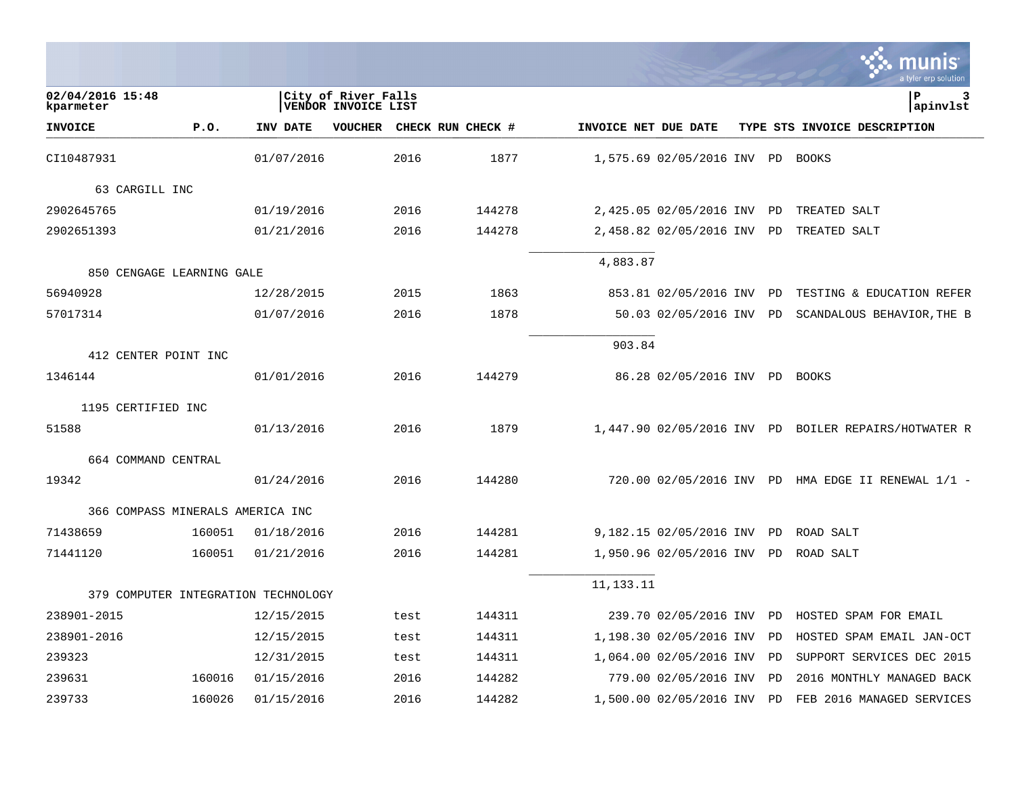|                               |                                     |            |                                            |      |                   |                      |                                  |    | a tyler erp solutior                                 |
|-------------------------------|-------------------------------------|------------|--------------------------------------------|------|-------------------|----------------------|----------------------------------|----|------------------------------------------------------|
| 02/04/2016 15:48<br>kparmeter |                                     |            | City of River Falls<br>VENDOR INVOICE LIST |      |                   |                      |                                  |    | l P<br>3<br>apinvlst                                 |
| <b>INVOICE</b>                | P.0.                                | INV DATE   | <b>VOUCHER</b>                             |      | CHECK RUN CHECK # | INVOICE NET DUE DATE |                                  |    | TYPE STS INVOICE DESCRIPTION                         |
| CI10487931                    |                                     | 01/07/2016 |                                            | 2016 | 1877              |                      | 1,575.69 02/05/2016 INV PD BOOKS |    |                                                      |
| 63 CARGILL INC                |                                     |            |                                            |      |                   |                      |                                  |    |                                                      |
| 2902645765                    |                                     | 01/19/2016 |                                            | 2016 | 144278            |                      | 2,425.05 02/05/2016 INV PD       |    | TREATED SALT                                         |
| 2902651393                    |                                     | 01/21/2016 |                                            | 2016 | 144278            |                      | 2,458.82 02/05/2016 INV          | PD | TREATED SALT                                         |
|                               | 850 CENGAGE LEARNING GALE           |            |                                            |      |                   | 4,883.87             |                                  |    |                                                      |
| 56940928                      |                                     | 12/28/2015 |                                            | 2015 | 1863              |                      | 853.81 02/05/2016 INV            | PD | TESTING & EDUCATION REFER                            |
| 57017314                      |                                     | 01/07/2016 |                                            | 2016 | 1878              |                      | 50.03 02/05/2016 INV PD          |    | SCANDALOUS BEHAVIOR, THE B                           |
|                               |                                     |            |                                            |      |                   |                      |                                  |    |                                                      |
|                               | 412 CENTER POINT INC                |            |                                            |      |                   | 903.84               |                                  |    |                                                      |
| 1346144                       |                                     | 01/01/2016 |                                            | 2016 | 144279            |                      | 86.28 02/05/2016 INV PD BOOKS    |    |                                                      |
| 1195 CERTIFIED INC            |                                     |            |                                            |      |                   |                      |                                  |    |                                                      |
| 51588                         |                                     | 01/13/2016 |                                            | 2016 | 1879              |                      |                                  |    | 1,447.90 02/05/2016 INV PD BOILER REPAIRS/HOTWATER R |
| 664 COMMAND CENTRAL           |                                     |            |                                            |      |                   |                      |                                  |    |                                                      |
| 19342                         |                                     | 01/24/2016 |                                            | 2016 | 144280            |                      |                                  |    | 720.00 02/05/2016 INV PD HMA EDGE II RENEWAL 1/1 -   |
|                               | 366 COMPASS MINERALS AMERICA INC    |            |                                            |      |                   |                      |                                  |    |                                                      |
| 71438659                      | 160051                              | 01/18/2016 |                                            | 2016 | 144281            |                      | 9,182.15 02/05/2016 INV          | PD | ROAD SALT                                            |
| 71441120                      | 160051                              | 01/21/2016 |                                            | 2016 | 144281            |                      | 1,950.96 02/05/2016 INV          | PD | ROAD SALT                                            |
|                               | 379 COMPUTER INTEGRATION TECHNOLOGY |            |                                            |      |                   | 11,133.11            |                                  |    |                                                      |
| 238901-2015                   |                                     | 12/15/2015 |                                            | test | 144311            |                      | 239.70 02/05/2016 INV            | PD | HOSTED SPAM FOR EMAIL                                |
| 238901-2016                   |                                     | 12/15/2015 |                                            | test | 144311            |                      | 1,198.30 02/05/2016 INV          | PD | HOSTED SPAM EMAIL JAN-OCT                            |
| 239323                        |                                     | 12/31/2015 |                                            | test | 144311            |                      | 1,064.00 02/05/2016 INV          | PD | SUPPORT SERVICES DEC 2015                            |
| 239631                        | 160016                              | 01/15/2016 |                                            | 2016 | 144282            |                      | 779.00 02/05/2016 INV            | PD | 2016 MONTHLY MANAGED BACK                            |
| 239733                        | 160026                              | 01/15/2016 |                                            | 2016 | 144282            |                      | 1,500.00 02/05/2016 INV PD       |    | FEB 2016 MANAGED SERVICES                            |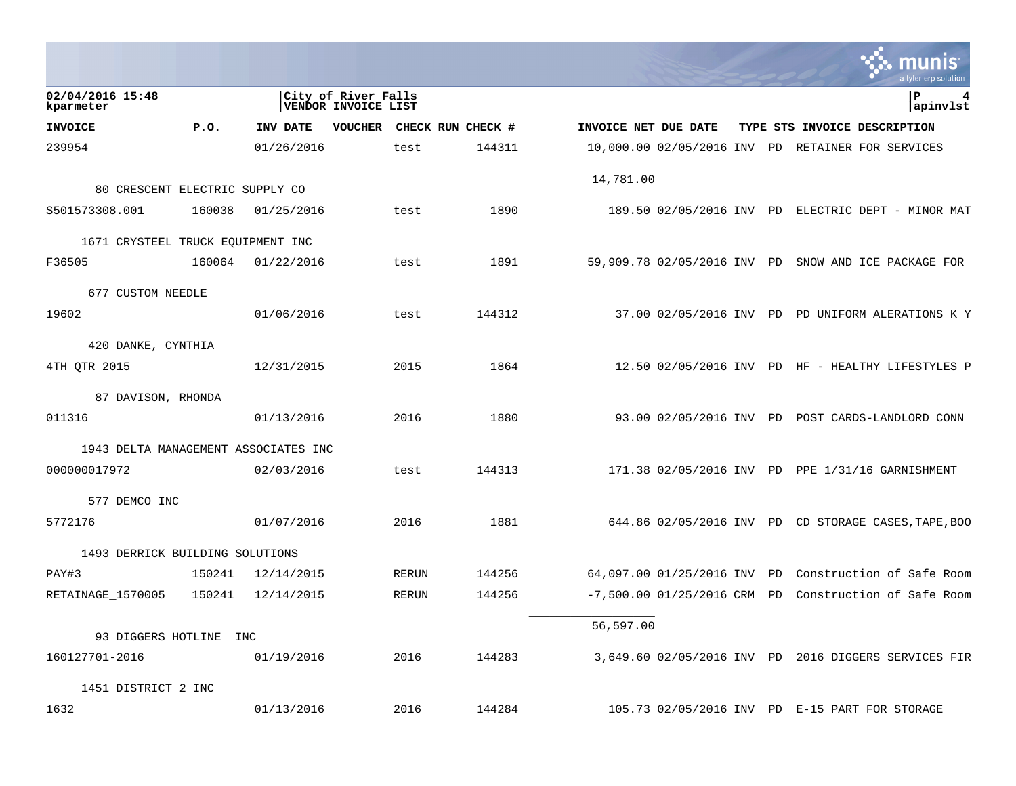|                                      |        |            |                                            |              |                   |                      |                            |    | a tyler erp solution                                 |
|--------------------------------------|--------|------------|--------------------------------------------|--------------|-------------------|----------------------|----------------------------|----|------------------------------------------------------|
| 02/04/2016 15:48<br>kparmeter        |        |            | City of River Falls<br>VENDOR INVOICE LIST |              |                   |                      |                            |    | P<br>4<br>apinvlst                                   |
| <b>INVOICE</b>                       | P.0.   | INV DATE   | <b>VOUCHER</b>                             |              | CHECK RUN CHECK # | INVOICE NET DUE DATE |                            |    | TYPE STS INVOICE DESCRIPTION                         |
| 239954                               |        | 01/26/2016 |                                            | test         | 144311            |                      | 10,000.00 02/05/2016 INV   | PD | RETAINER FOR SERVICES                                |
| 80 CRESCENT ELECTRIC SUPPLY CO       |        |            |                                            |              |                   | 14,781.00            |                            |    |                                                      |
| S501573308.001                       | 160038 |            |                                            |              | 1890              |                      |                            |    | 189.50 02/05/2016 INV PD ELECTRIC DEPT - MINOR MAT   |
|                                      |        | 01/25/2016 |                                            | test         |                   |                      |                            |    |                                                      |
| 1671 CRYSTEEL TRUCK EQUIPMENT INC    |        |            |                                            |              |                   |                      |                            |    |                                                      |
| F36505                               | 160064 | 01/22/2016 |                                            | test         | 1891              |                      |                            |    | 59,909.78 02/05/2016 INV PD SNOW AND ICE PACKAGE FOR |
| 677 CUSTOM NEEDLE                    |        |            |                                            |              |                   |                      |                            |    |                                                      |
| 19602                                |        | 01/06/2016 |                                            | test         | 144312            |                      |                            |    | 37.00 02/05/2016 INV PD PD UNIFORM ALERATIONS K Y    |
| 420 DANKE, CYNTHIA                   |        |            |                                            |              |                   |                      |                            |    |                                                      |
| 4TH QTR 2015                         |        | 12/31/2015 |                                            | 2015         | 1864              |                      |                            |    | 12.50 02/05/2016 INV PD HF - HEALTHY LIFESTYLES P    |
| 87 DAVISON, RHONDA                   |        |            |                                            |              |                   |                      |                            |    |                                                      |
| 011316                               |        | 01/13/2016 |                                            | 2016         | 1880              |                      |                            |    | 93.00 02/05/2016 INV PD POST CARDS-LANDLORD CONN     |
| 1943 DELTA MANAGEMENT ASSOCIATES INC |        |            |                                            |              |                   |                      |                            |    |                                                      |
| 000000017972                         |        | 02/03/2016 |                                            | test         | 144313            |                      |                            |    | 171.38 02/05/2016 INV PD PPE 1/31/16 GARNISHMENT     |
| 577 DEMCO INC                        |        |            |                                            |              |                   |                      |                            |    |                                                      |
| 5772176                              |        | 01/07/2016 |                                            | 2016         | 1881              |                      |                            |    | 644.86 02/05/2016 INV PD CD STORAGE CASES, TAPE, BOO |
| 1493 DERRICK BUILDING SOLUTIONS      |        |            |                                            |              |                   |                      |                            |    |                                                      |
| PAY#3                                | 150241 | 12/14/2015 |                                            | <b>RERUN</b> | 144256            |                      | 64,097.00 01/25/2016 INV   | PD | Construction of Safe Room                            |
| RETAINAGE_1570005                    | 150241 | 12/14/2015 |                                            | <b>RERUN</b> | 144256            |                      | $-7,500.00 01/25/2016$ CRM | PD | Construction of Safe Room                            |
|                                      |        |            |                                            |              |                   | 56,597.00            |                            |    |                                                      |
| 93 DIGGERS HOTLINE INC               |        |            |                                            |              |                   |                      |                            |    |                                                      |
| 160127701-2016                       |        | 01/19/2016 |                                            | 2016         | 144283            |                      |                            |    | 3,649.60 02/05/2016 INV PD 2016 DIGGERS SERVICES FIR |
| 1451 DISTRICT 2 INC                  |        |            |                                            |              |                   |                      |                            |    |                                                      |
| 1632                                 |        | 01/13/2016 |                                            | 2016         | 144284            |                      |                            |    | 105.73 02/05/2016 INV PD E-15 PART FOR STORAGE       |

**College**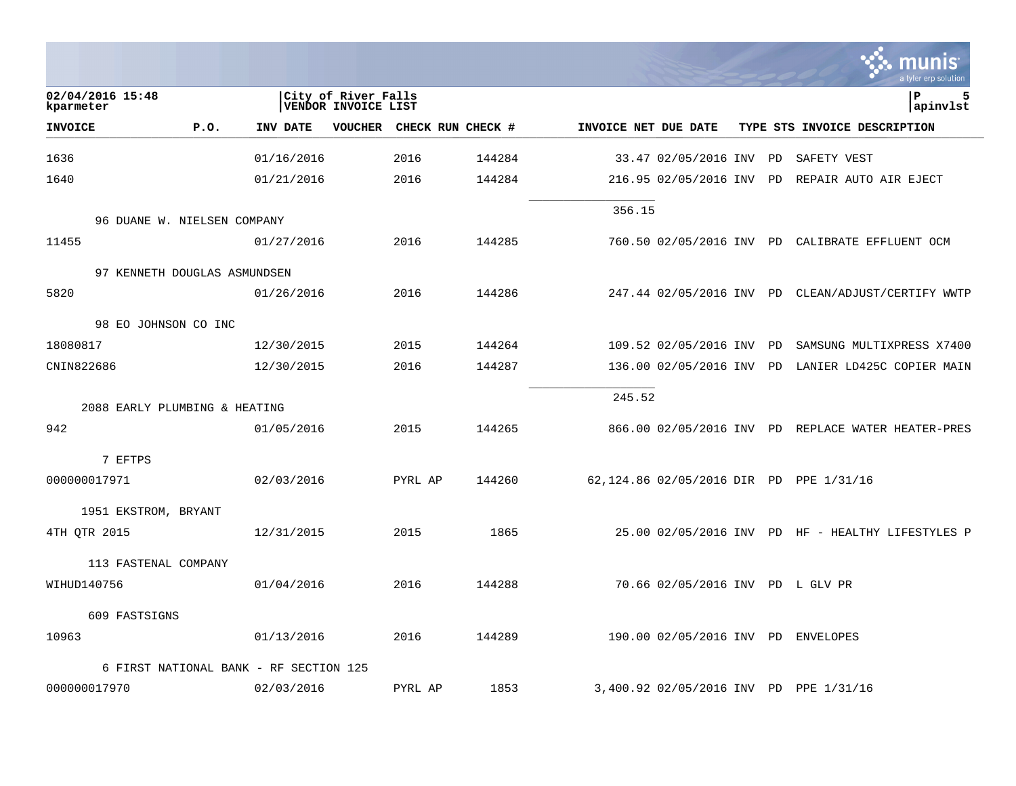|                               |                                        |            |                                            |                   |        |                      |                                  |    | a tyler erp solution                               |
|-------------------------------|----------------------------------------|------------|--------------------------------------------|-------------------|--------|----------------------|----------------------------------|----|----------------------------------------------------|
| 02/04/2016 15:48<br>kparmeter |                                        |            | City of River Falls<br>VENDOR INVOICE LIST |                   |        |                      |                                  |    | ΙP<br>5<br>apinvlst                                |
| <b>INVOICE</b>                | P.0.                                   | INV DATE   | <b>VOUCHER</b>                             | CHECK RUN CHECK # |        | INVOICE NET DUE DATE |                                  |    | TYPE STS INVOICE DESCRIPTION                       |
| 1636                          |                                        | 01/16/2016 |                                            | 2016              | 144284 |                      | 33.47 02/05/2016 INV             | PD | SAFETY VEST                                        |
| 1640                          |                                        | 01/21/2016 |                                            | 2016              | 144284 |                      | 216.95 02/05/2016 INV            | PD | REPAIR AUTO AIR EJECT                              |
|                               | 96 DUANE W. NIELSEN COMPANY            |            |                                            |                   |        | 356.15               |                                  |    |                                                    |
| 11455                         |                                        | 01/27/2016 |                                            | 2016              | 144285 |                      |                                  |    | 760.50 02/05/2016 INV PD CALIBRATE EFFLUENT OCM    |
|                               | 97 KENNETH DOUGLAS ASMUNDSEN           |            |                                            |                   |        |                      |                                  |    |                                                    |
| 5820                          |                                        | 01/26/2016 |                                            | 2016              | 144286 |                      |                                  |    | 247.44 02/05/2016 INV PD CLEAN/ADJUST/CERTIFY WWTP |
|                               | 98 EO JOHNSON CO INC                   |            |                                            |                   |        |                      |                                  |    |                                                    |
| 18080817                      |                                        | 12/30/2015 |                                            | 2015              | 144264 |                      | 109.52 02/05/2016 INV            | PD | SAMSUNG MULTIXPRESS X7400                          |
| CNIN822686                    |                                        | 12/30/2015 |                                            | 2016              | 144287 |                      | 136.00 02/05/2016 INV            |    | PD LANIER LD425C COPIER MAIN                       |
|                               | 2088 EARLY PLUMBING & HEATING          |            |                                            |                   |        | 245.52               |                                  |    |                                                    |
| 942                           |                                        | 01/05/2016 |                                            | 2015              | 144265 |                      |                                  |    | 866.00 02/05/2016 INV PD REPLACE WATER HEATER-PRES |
| 7 EFTPS                       |                                        |            |                                            |                   |        |                      |                                  |    |                                                    |
| 000000017971                  |                                        | 02/03/2016 |                                            | PYRL AP           | 144260 |                      |                                  |    | 62,124.86 02/05/2016 DIR PD PPE 1/31/16            |
| 1951 EKSTROM, BRYANT          |                                        |            |                                            |                   |        |                      |                                  |    |                                                    |
| 4TH QTR 2015                  |                                        | 12/31/2015 |                                            | 2015              | 1865   |                      |                                  |    | 25.00 02/05/2016 INV PD HF - HEALTHY LIFESTYLES P  |
|                               | 113 FASTENAL COMPANY                   |            |                                            |                   |        |                      |                                  |    |                                                    |
| WIHUD140756                   |                                        | 01/04/2016 |                                            | 2016              | 144288 |                      | 70.66 02/05/2016 INV PD L GLV PR |    |                                                    |
| 609 FASTSIGNS                 |                                        |            |                                            |                   |        |                      |                                  |    |                                                    |
| 10963                         |                                        | 01/13/2016 |                                            | 2016              | 144289 |                      | 190.00 02/05/2016 INV PD         |    | ENVELOPES                                          |
|                               | 6 FIRST NATIONAL BANK - RF SECTION 125 |            |                                            |                   |        |                      |                                  |    |                                                    |
| 000000017970                  |                                        | 02/03/2016 |                                            | PYRL AP           | 1853   |                      |                                  |    | 3,400.92 02/05/2016 INV PD PPE 1/31/16             |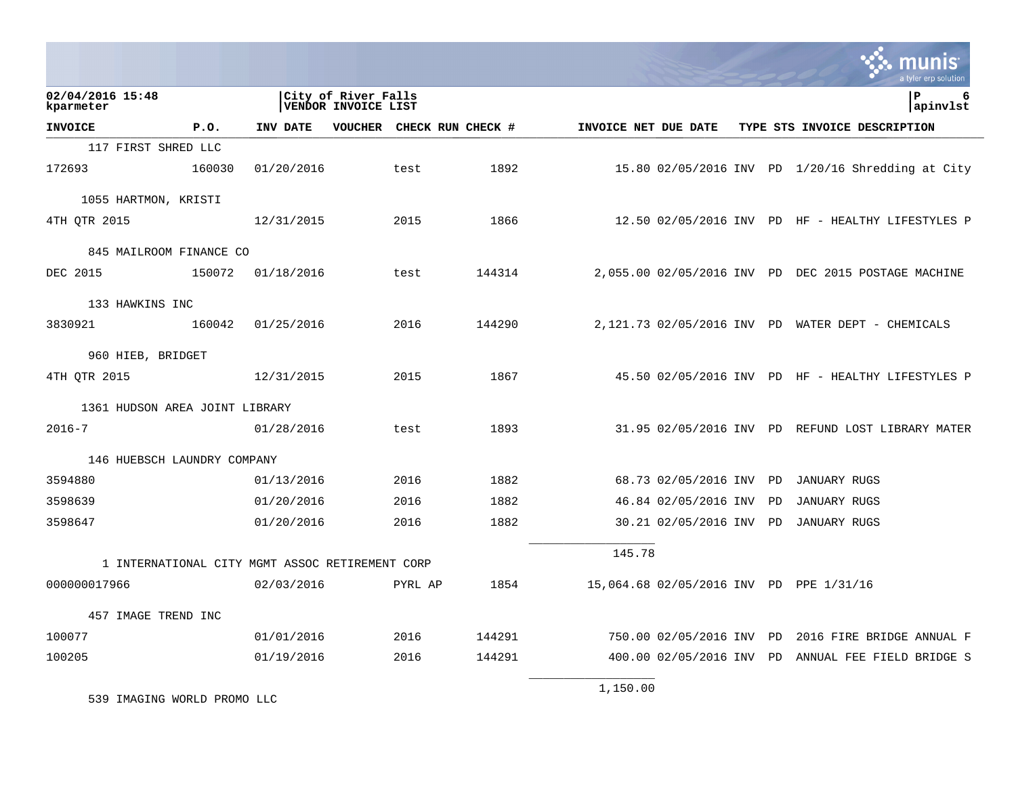|                                |        |                                                 |                                                   |         |                           |                      |                          |    | <u>MUNIS</u><br>a tyler erp solution                |
|--------------------------------|--------|-------------------------------------------------|---------------------------------------------------|---------|---------------------------|----------------------|--------------------------|----|-----------------------------------------------------|
| 02/04/2016 15:48<br>kparmeter  |        |                                                 | City of River Falls<br><b>VENDOR INVOICE LIST</b> |         |                           |                      |                          |    | lР<br>6<br>apinvlst                                 |
| <b>INVOICE</b>                 | P.0.   | INV DATE                                        |                                                   |         | VOUCHER CHECK RUN CHECK # | INVOICE NET DUE DATE |                          |    | TYPE STS INVOICE DESCRIPTION                        |
| 117 FIRST SHRED LLC            |        |                                                 |                                                   |         |                           |                      |                          |    |                                                     |
| 172693                         | 160030 | 01/20/2016                                      |                                                   | test    | 1892                      |                      |                          |    | 15.80 02/05/2016 INV PD 1/20/16 Shredding at City   |
| 1055 HARTMON, KRISTI           |        |                                                 |                                                   |         |                           |                      |                          |    |                                                     |
| 4TH OTR 2015                   |        | 12/31/2015                                      |                                                   | 2015    | 1866                      |                      |                          |    | $12.50$ 02/05/2016 INV PD HF - HEALTHY LIFESTYLES P |
| 845 MAILROOM FINANCE CO        |        |                                                 |                                                   |         |                           |                      |                          |    |                                                     |
| DEC 2015                       | 150072 | 01/18/2016                                      |                                                   | test    | 144314                    |                      |                          |    | 2,055.00 02/05/2016 INV PD DEC 2015 POSTAGE MACHINE |
| 133 HAWKINS INC                |        |                                                 |                                                   |         |                           |                      |                          |    |                                                     |
| 3830921                        | 160042 | 01/25/2016                                      |                                                   | 2016    | 144290                    |                      |                          |    | 2,121.73 02/05/2016 INV PD WATER DEPT - CHEMICALS   |
| 960 HIEB, BRIDGET              |        |                                                 |                                                   |         |                           |                      |                          |    |                                                     |
| 4TH OTR 2015                   |        | 12/31/2015                                      |                                                   | 2015    | 1867                      |                      |                          |    | 45.50 02/05/2016 INV PD HF - HEALTHY LIFESTYLES P   |
| 1361 HUDSON AREA JOINT LIBRARY |        |                                                 |                                                   |         |                           |                      |                          |    |                                                     |
| $2016 - 7$                     |        | 01/28/2016                                      |                                                   | test    | 1893                      |                      |                          |    | 31.95 02/05/2016 INV PD REFUND LOST LIBRARY MATER   |
| 146 HUEBSCH LAUNDRY COMPANY    |        |                                                 |                                                   |         |                           |                      |                          |    |                                                     |
| 3594880                        |        | 01/13/2016                                      |                                                   | 2016    | 1882                      |                      | 68.73 02/05/2016 INV PD  |    | JANUARY RUGS                                        |
| 3598639                        |        | 01/20/2016                                      |                                                   | 2016    | 1882                      |                      | 46.84 02/05/2016 INV     | PD | <b>JANUARY RUGS</b>                                 |
| 3598647                        |        | 01/20/2016                                      |                                                   | 2016    | 1882                      |                      | 30.21 02/05/2016 INV PD  |    | JANUARY RUGS                                        |
|                                |        | 1 INTERNATIONAL CITY MGMT ASSOC RETIREMENT CORP |                                                   |         |                           | 145.78               |                          |    |                                                     |
| 000000017966                   |        | 02/03/2016                                      |                                                   | PYRL AP | 1854                      |                      |                          |    | 15,064.68 02/05/2016 INV PD PPE 1/31/16             |
| 457 IMAGE TREND INC            |        |                                                 |                                                   |         |                           |                      |                          |    |                                                     |
| 100077                         |        | 01/01/2016                                      |                                                   | 2016    | 144291                    |                      | 750.00 02/05/2016 INV PD |    | 2016 FIRE BRIDGE ANNUAL F                           |
| 100205                         |        | 01/19/2016                                      |                                                   | 2016    | 144291                    |                      |                          |    | 400.00 02/05/2016 INV PD ANNUAL FEE FIELD BRIDGE S  |
|                                |        |                                                 |                                                   |         |                           | 1,150.00             |                          |    |                                                     |

 $\mathcal{L}^{\pm}$ 

539 IMAGING WORLD PROMO LLC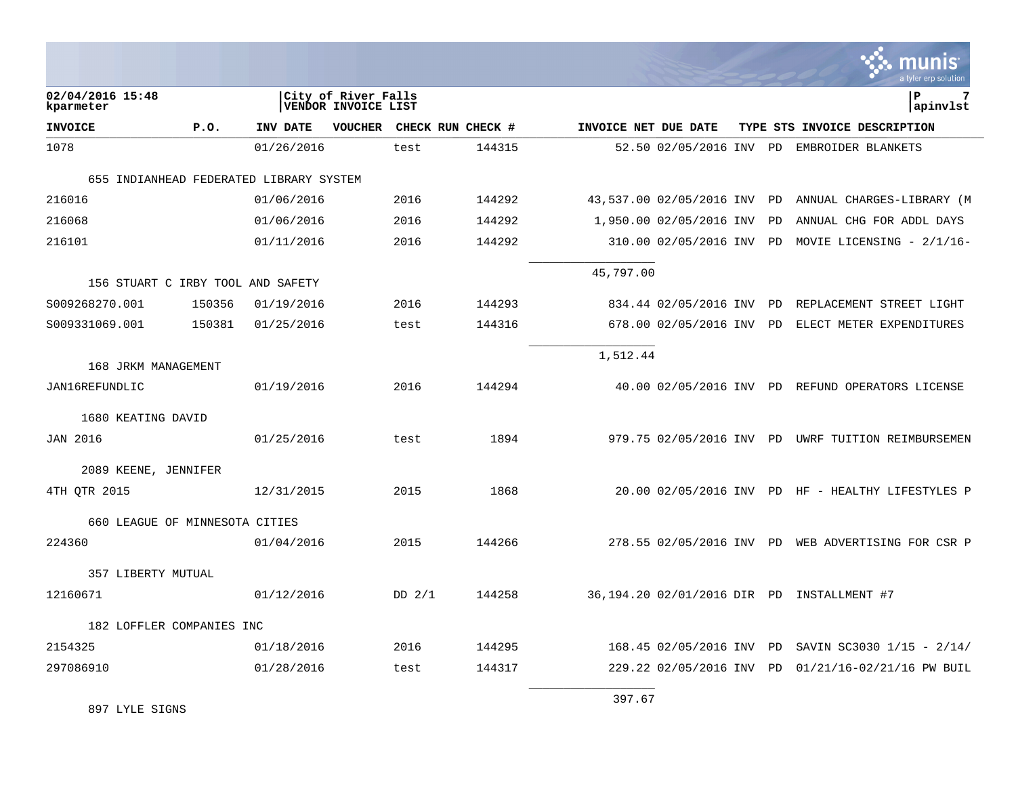| <u>ः munis</u>       |
|----------------------|
| a tyler erp solution |

| 02/04/2016 15:48<br>kparmeter           |        |            | City of River Falls<br>VENDOR INVOICE LIST |                   |        |                      |                             |           | P<br>7<br>apinvlst                                 |
|-----------------------------------------|--------|------------|--------------------------------------------|-------------------|--------|----------------------|-----------------------------|-----------|----------------------------------------------------|
| <b>INVOICE</b>                          | P.0.   | INV DATE   | <b>VOUCHER</b>                             | CHECK RUN CHECK # |        | INVOICE NET DUE DATE |                             |           | TYPE STS INVOICE DESCRIPTION                       |
| 1078                                    |        | 01/26/2016 |                                            | test              | 144315 |                      |                             |           | 52.50 02/05/2016 INV PD EMBROIDER BLANKETS         |
| 655 INDIANHEAD FEDERATED LIBRARY SYSTEM |        |            |                                            |                   |        |                      |                             |           |                                                    |
| 216016                                  |        | 01/06/2016 |                                            | 2016              | 144292 |                      | 43,537.00 02/05/2016 INV PD |           | ANNUAL CHARGES-LIBRARY (M                          |
| 216068                                  |        | 01/06/2016 |                                            | 2016              | 144292 |                      | 1,950.00 02/05/2016 INV     | PD        | ANNUAL CHG FOR ADDL DAYS                           |
| 216101                                  |        | 01/11/2016 |                                            | 2016              | 144292 |                      | 310.00 02/05/2016 INV       | PD        | MOVIE LICENSING - $2/1/16$ -                       |
| 156 STUART C IRBY TOOL AND SAFETY       |        |            |                                            |                   |        | 45,797.00            |                             |           |                                                    |
| S009268270.001                          | 150356 | 01/19/2016 |                                            | 2016              | 144293 |                      | 834.44 02/05/2016 INV       | <b>PD</b> | REPLACEMENT STREET LIGHT                           |
| S009331069.001                          | 150381 | 01/25/2016 |                                            | test              | 144316 |                      | 678.00 02/05/2016 INV PD    |           | ELECT METER EXPENDITURES                           |
|                                         |        |            |                                            |                   |        | 1,512.44             |                             |           |                                                    |
| 168 JRKM MANAGEMENT                     |        |            |                                            |                   |        |                      |                             |           |                                                    |
| JAN16REFUNDLIC                          |        | 01/19/2016 |                                            | 2016              | 144294 |                      |                             |           | 40.00 02/05/2016 INV PD REFUND OPERATORS LICENSE   |
| 1680 KEATING DAVID                      |        |            |                                            |                   |        |                      |                             |           |                                                    |
| <b>JAN 2016</b>                         |        | 01/25/2016 |                                            | test              | 1894   |                      | 979.75 02/05/2016 INV PD    |           | UWRF TUITION REIMBURSEMEN                          |
| 2089 KEENE, JENNIFER                    |        |            |                                            |                   |        |                      |                             |           |                                                    |
| 4TH QTR 2015                            |        | 12/31/2015 |                                            | 2015              | 1868   |                      |                             |           | 20.00 02/05/2016 INV PD HF - HEALTHY LIFESTYLES P  |
| 660 LEAGUE OF MINNESOTA CITIES          |        |            |                                            |                   |        |                      |                             |           |                                                    |
| 224360                                  |        | 01/04/2016 |                                            | 2015              | 144266 |                      |                             |           | 278.55 02/05/2016 INV PD WEB ADVERTISING FOR CSR P |
| 357 LIBERTY MUTUAL                      |        |            |                                            |                   |        |                      |                             |           |                                                    |
| 12160671                                |        | 01/12/2016 |                                            | DD $2/1$          | 144258 |                      |                             |           | 36,194.20 02/01/2016 DIR PD INSTALLMENT #7         |
| 182 LOFFLER COMPANIES INC               |        |            |                                            |                   |        |                      |                             |           |                                                    |
| 2154325                                 |        | 01/18/2016 |                                            | 2016              | 144295 |                      | 168.45 02/05/2016 INV       | PD        | SAVIN SC3030 1/15 - 2/14/                          |
| 297086910                               |        | 01/28/2016 |                                            | test              | 144317 |                      | 229.22 02/05/2016 INV       | PD        | 01/21/16-02/21/16 PW BUIL                          |
|                                         |        |            |                                            |                   |        | 397.67               |                             |           |                                                    |

897 LYLE SIGNS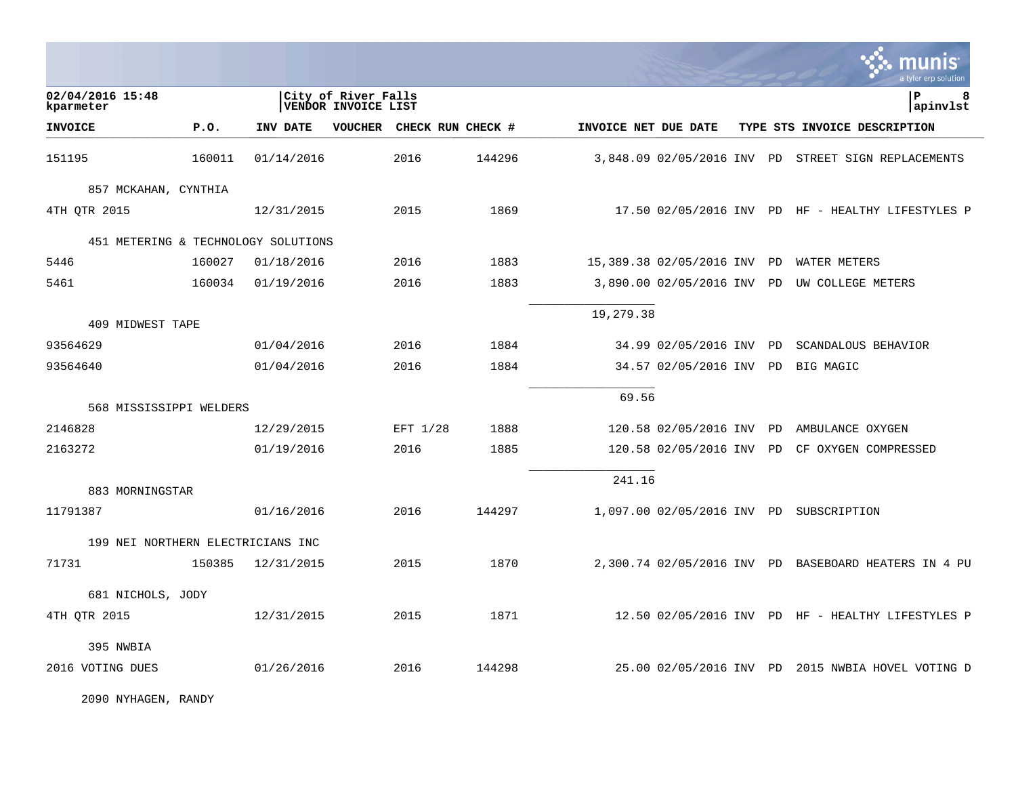|                                     |        |            |                                            |                           |        |                      |                            |    | <b>INIS</b><br>a tyler erp solution                  |
|-------------------------------------|--------|------------|--------------------------------------------|---------------------------|--------|----------------------|----------------------------|----|------------------------------------------------------|
| 02/04/2016 15:48<br>kparmeter       |        |            | City of River Falls<br>VENDOR INVOICE LIST |                           |        |                      |                            |    | P<br>8<br>apinvlst                                   |
| <b>INVOICE</b>                      | P.O.   | INV DATE   |                                            | VOUCHER CHECK RUN CHECK # |        | INVOICE NET DUE DATE |                            |    | TYPE STS INVOICE DESCRIPTION                         |
| 151195                              | 160011 | 01/14/2016 |                                            | 2016                      | 144296 |                      |                            |    | 3,848.09 02/05/2016 INV PD STREET SIGN REPLACEMENTS  |
| 857 MCKAHAN, CYNTHIA                |        |            |                                            |                           |        |                      |                            |    |                                                      |
| 4TH QTR 2015                        |        | 12/31/2015 |                                            | 2015                      | 1869   |                      |                            |    | $17.50$ 02/05/2016 INV PD HF - HEALTHY LIFESTYLES P  |
| 451 METERING & TECHNOLOGY SOLUTIONS |        |            |                                            |                           |        |                      |                            |    |                                                      |
| 5446                                | 160027 | 01/18/2016 |                                            | 2016                      | 1883   |                      | 15,389.38 02/05/2016 INV   | PD | <b>WATER METERS</b>                                  |
| 5461                                | 160034 | 01/19/2016 |                                            | 2016                      | 1883   |                      | 3,890.00 02/05/2016 INV PD |    | UW COLLEGE METERS                                    |
| 409 MIDWEST TAPE                    |        |            |                                            |                           |        | 19,279.38            |                            |    |                                                      |
| 93564629                            |        | 01/04/2016 |                                            | 2016                      | 1884   |                      | 34.99 02/05/2016 INV       | PD | SCANDALOUS BEHAVIOR                                  |
| 93564640                            |        | 01/04/2016 |                                            | 2016                      | 1884   |                      | 34.57 02/05/2016 INV PD    |    | BIG MAGIC                                            |
|                                     |        |            |                                            |                           |        | 69.56                |                            |    |                                                      |
| 568 MISSISSIPPI WELDERS             |        |            |                                            |                           |        |                      |                            |    |                                                      |
| 2146828                             |        | 12/29/2015 |                                            | EFT 1/28                  | 1888   |                      | 120.58 02/05/2016 INV      | PD | AMBULANCE OXYGEN                                     |
| 2163272                             |        | 01/19/2016 |                                            | 2016                      | 1885   |                      | 120.58 02/05/2016 INV      | PD | CF OXYGEN COMPRESSED                                 |
| 883 MORNINGSTAR                     |        |            |                                            |                           |        | 241.16               |                            |    |                                                      |
| 11791387                            |        | 01/16/2016 |                                            | 2016                      | 144297 |                      |                            |    | 1,097.00 02/05/2016 INV PD SUBSCRIPTION              |
| 199 NEI NORTHERN ELECTRICIANS INC   |        |            |                                            |                           |        |                      |                            |    |                                                      |
| 71731                               | 150385 | 12/31/2015 |                                            | 2015                      | 1870   |                      |                            |    | 2,300.74 02/05/2016 INV PD BASEBOARD HEATERS IN 4 PU |
| 681 NICHOLS, JODY                   |        |            |                                            |                           |        |                      |                            |    |                                                      |
| 4TH QTR 2015                        |        | 12/31/2015 |                                            | 2015                      | 1871   |                      |                            |    | $12.50$ 02/05/2016 INV PD HF - HEALTHY LIFESTYLES P  |
| 395 NWBIA                           |        |            |                                            |                           |        |                      |                            |    |                                                      |
| 2016 VOTING DUES                    |        | 01/26/2016 |                                            | 2016                      | 144298 |                      |                            |    | 25.00 02/05/2016 INV PD 2015 NWBIA HOVEL VOTING D    |

 $\mathcal{L}$ 

2090 NYHAGEN, RANDY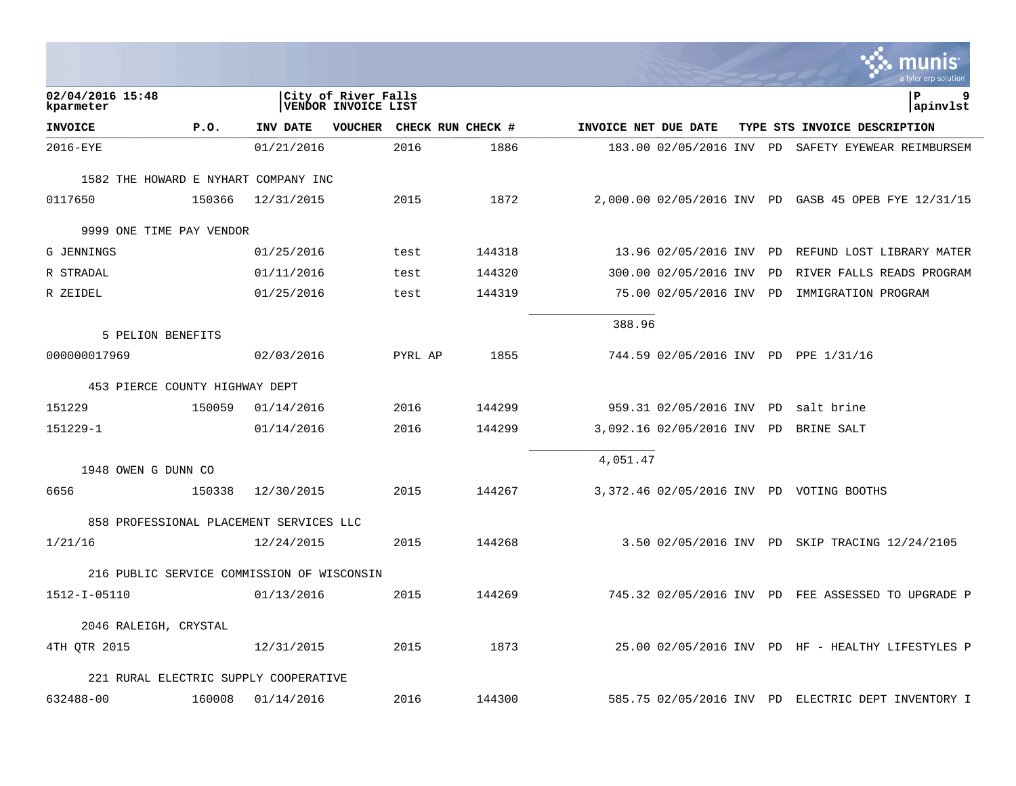|                                            |        |            |                                                   |         |                   |                      |                            |    | a tyler erp solution                                 |
|--------------------------------------------|--------|------------|---------------------------------------------------|---------|-------------------|----------------------|----------------------------|----|------------------------------------------------------|
| 02/04/2016 15:48<br>kparmeter              |        |            | City of River Falls<br><b>VENDOR INVOICE LIST</b> |         |                   |                      |                            |    | 9<br>l P<br>apinvlst                                 |
| <b>INVOICE</b>                             | P.O.   | INV DATE   | <b>VOUCHER</b>                                    |         | CHECK RUN CHECK # | INVOICE NET DUE DATE |                            |    | TYPE STS INVOICE DESCRIPTION                         |
| 2016-EYE                                   |        | 01/21/2016 |                                                   | 2016    | 1886              |                      | 183.00 02/05/2016 INV PD   |    | SAFETY EYEWEAR REIMBURSEM                            |
| 1582 THE HOWARD E NYHART COMPANY INC       |        |            |                                                   |         |                   |                      |                            |    |                                                      |
| 0117650                                    | 150366 | 12/31/2015 |                                                   | 2015    | 1872              |                      |                            |    | 2,000.00 02/05/2016 INV PD GASB 45 OPEB FYE 12/31/15 |
| 9999 ONE TIME PAY VENDOR                   |        |            |                                                   |         |                   |                      |                            |    |                                                      |
| G JENNINGS                                 |        | 01/25/2016 |                                                   | test    | 144318            |                      | 13.96 02/05/2016 INV PD    |    | REFUND LOST LIBRARY MATER                            |
| R STRADAL                                  |        | 01/11/2016 |                                                   | test    | 144320            |                      | 300.00 02/05/2016 INV      | PD | RIVER FALLS READS PROGRAM                            |
| R ZEIDEL                                   |        | 01/25/2016 |                                                   | test    | 144319            |                      | 75.00 02/05/2016 INV PD    |    | IMMIGRATION PROGRAM                                  |
| 5 PELION BENEFITS                          |        |            |                                                   |         |                   | 388.96               |                            |    |                                                      |
| 000000017969                               |        | 02/03/2016 |                                                   | PYRL AP | 1855              |                      |                            |    | 744.59 02/05/2016 INV PD PPE 1/31/16                 |
| 453 PIERCE COUNTY HIGHWAY DEPT             |        |            |                                                   |         |                   |                      |                            |    |                                                      |
| 151229                                     | 150059 | 01/14/2016 |                                                   | 2016    | 144299            |                      | 959.31 02/05/2016 INV PD   |    | salt brine                                           |
| 151229-1                                   |        | 01/14/2016 |                                                   | 2016    | 144299            |                      | 3,092.16 02/05/2016 INV PD |    | BRINE SALT                                           |
| 1948 OWEN G DUNN CO                        |        |            |                                                   |         |                   | 4,051.47             |                            |    |                                                      |
| 6656                                       | 150338 | 12/30/2015 |                                                   | 2015    | 144267            |                      |                            |    | 3,372.46 02/05/2016 INV PD VOTING BOOTHS             |
| 858 PROFESSIONAL PLACEMENT SERVICES LLC    |        |            |                                                   |         |                   |                      |                            |    |                                                      |
| 1/21/16                                    |        | 12/24/2015 |                                                   | 2015    | 144268            |                      |                            |    | 3.50 02/05/2016 INV PD SKIP TRACING 12/24/2105       |
| 216 PUBLIC SERVICE COMMISSION OF WISCONSIN |        |            |                                                   |         |                   |                      |                            |    |                                                      |
| 1512-I-05110                               |        | 01/13/2016 |                                                   | 2015    | 144269            |                      |                            |    | 745.32 02/05/2016 INV PD FEE ASSESSED TO UPGRADE P   |
| 2046 RALEIGH, CRYSTAL                      |        |            |                                                   |         |                   |                      |                            |    |                                                      |
| 4TH OTR 2015                               |        | 12/31/2015 |                                                   | 2015    | 1873              |                      |                            |    | 25.00 02/05/2016 INV PD HF - HEALTHY LIFESTYLES P    |
| 221 RURAL ELECTRIC SUPPLY COOPERATIVE      |        |            |                                                   |         |                   |                      |                            |    |                                                      |
| 632488-00                                  | 160008 | 01/14/2016 |                                                   | 2016    | 144300            |                      |                            |    | 585.75 02/05/2016 INV PD ELECTRIC DEPT INVENTORY I   |

**College**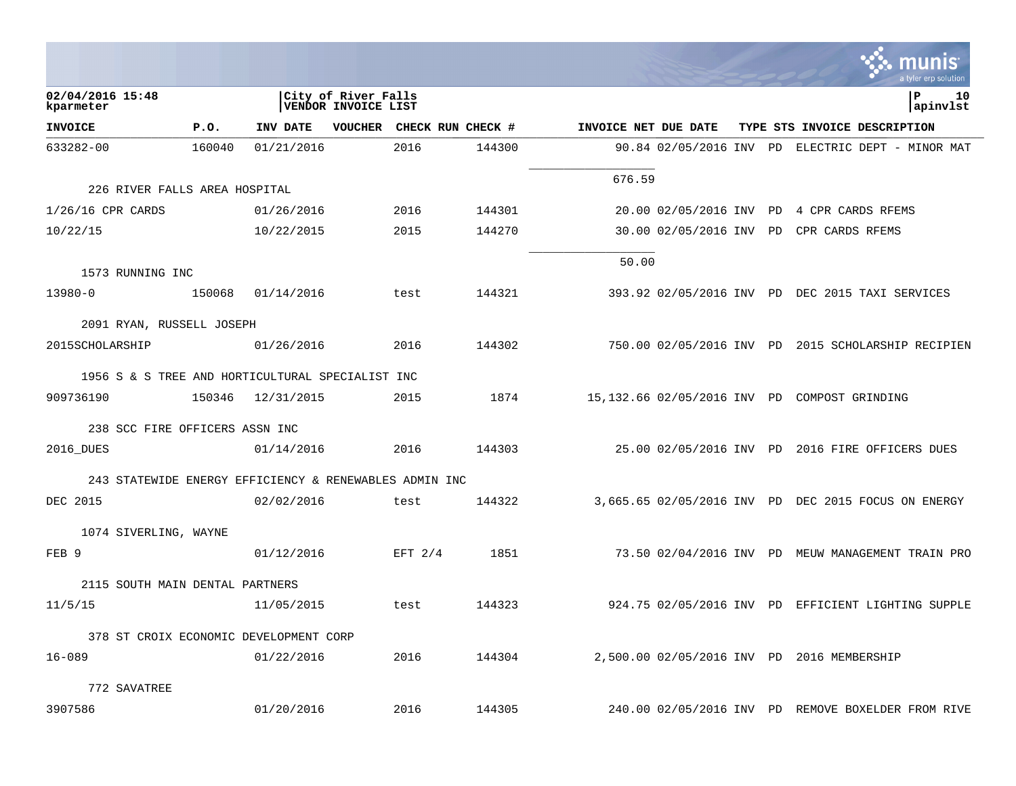|                                                        |        |            |                                            |                   |        |                      |                         |    | a tyler erp solution                                |
|--------------------------------------------------------|--------|------------|--------------------------------------------|-------------------|--------|----------------------|-------------------------|----|-----------------------------------------------------|
| 02/04/2016 15:48<br>kparmeter                          |        |            | City of River Falls<br>VENDOR INVOICE LIST |                   |        |                      |                         |    | ΙP<br>10<br>apinvlst                                |
| <b>INVOICE</b>                                         | P.0.   | INV DATE   | <b>VOUCHER</b>                             | CHECK RUN CHECK # |        | INVOICE NET DUE DATE |                         |    | TYPE STS INVOICE DESCRIPTION                        |
| 633282-00                                              | 160040 | 01/21/2016 |                                            | 2016              | 144300 |                      | 90.84 02/05/2016 INV PD |    | ELECTRIC DEPT - MINOR MAT                           |
|                                                        |        |            |                                            |                   |        | 676.59               |                         |    |                                                     |
| 226 RIVER FALLS AREA HOSPITAL                          |        |            |                                            |                   |        |                      |                         |    |                                                     |
| $1/26/16$ CPR CARDS                                    |        | 01/26/2016 |                                            | 2016              | 144301 |                      | 20.00 02/05/2016 INV    | PD | 4 CPR CARDS RFEMS                                   |
| 10/22/15                                               |        | 10/22/2015 |                                            | 2015              | 144270 |                      | 30.00 02/05/2016 INV    | PD | CPR CARDS RFEMS                                     |
|                                                        |        |            |                                            |                   |        | 50.00                |                         |    |                                                     |
| 1573 RUNNING INC                                       |        |            |                                            |                   |        |                      |                         |    |                                                     |
| 13980-0                                                | 150068 | 01/14/2016 |                                            | test              | 144321 |                      |                         |    | 393.92 02/05/2016 INV PD DEC 2015 TAXI SERVICES     |
| 2091 RYAN, RUSSELL JOSEPH                              |        |            |                                            |                   |        |                      |                         |    |                                                     |
| 2015SCHOLARSHIP                                        |        | 01/26/2016 |                                            | 2016              | 144302 |                      |                         |    | 750.00 02/05/2016 INV PD 2015 SCHOLARSHIP RECIPIEN  |
| 1956 S & S TREE AND HORTICULTURAL SPECIALIST INC       |        |            |                                            |                   |        |                      |                         |    |                                                     |
| 909736190                                              | 150346 | 12/31/2015 |                                            | 2015              | 1874   |                      |                         |    | 15,132.66 02/05/2016 INV PD COMPOST GRINDING        |
|                                                        |        |            |                                            |                   |        |                      |                         |    |                                                     |
| 238 SCC FIRE OFFICERS ASSN INC                         |        |            |                                            |                   |        |                      |                         |    |                                                     |
| 2016_DUES                                              |        | 01/14/2016 |                                            | 2016              | 144303 |                      |                         |    | 25.00 02/05/2016 INV PD 2016 FIRE OFFICERS DUES     |
| 243 STATEWIDE ENERGY EFFICIENCY & RENEWABLES ADMIN INC |        |            |                                            |                   |        |                      |                         |    |                                                     |
| DEC 2015                                               |        | 02/02/2016 |                                            | test              | 144322 |                      |                         |    | 3,665.65 02/05/2016 INV PD DEC 2015 FOCUS ON ENERGY |
| 1074 SIVERLING, WAYNE                                  |        |            |                                            |                   |        |                      |                         |    |                                                     |
| FEB 9                                                  |        | 01/12/2016 |                                            | EFT $2/4$         | 1851   |                      |                         |    | 73.50 02/04/2016 INV PD MEUW MANAGEMENT TRAIN PRO   |
| 2115 SOUTH MAIN DENTAL PARTNERS                        |        |            |                                            |                   |        |                      |                         |    |                                                     |
| 11/5/15                                                |        | 11/05/2015 |                                            | test              | 144323 |                      |                         |    | 924.75 02/05/2016 INV PD EFFICIENT LIGHTING SUPPLE  |
|                                                        |        |            |                                            |                   |        |                      |                         |    |                                                     |
| 378 ST CROIX ECONOMIC DEVELOPMENT CORP                 |        |            |                                            |                   |        |                      |                         |    |                                                     |
| $16 - 089$                                             |        | 01/22/2016 |                                            | 2016              | 144304 |                      |                         |    | 2,500.00 02/05/2016 INV PD 2016 MEMBERSHIP          |
| 772 SAVATREE                                           |        |            |                                            |                   |        |                      |                         |    |                                                     |
| 3907586                                                |        | 01/20/2016 |                                            | 2016              | 144305 |                      |                         |    | 240.00 02/05/2016 INV PD REMOVE BOXELDER FROM RIVE  |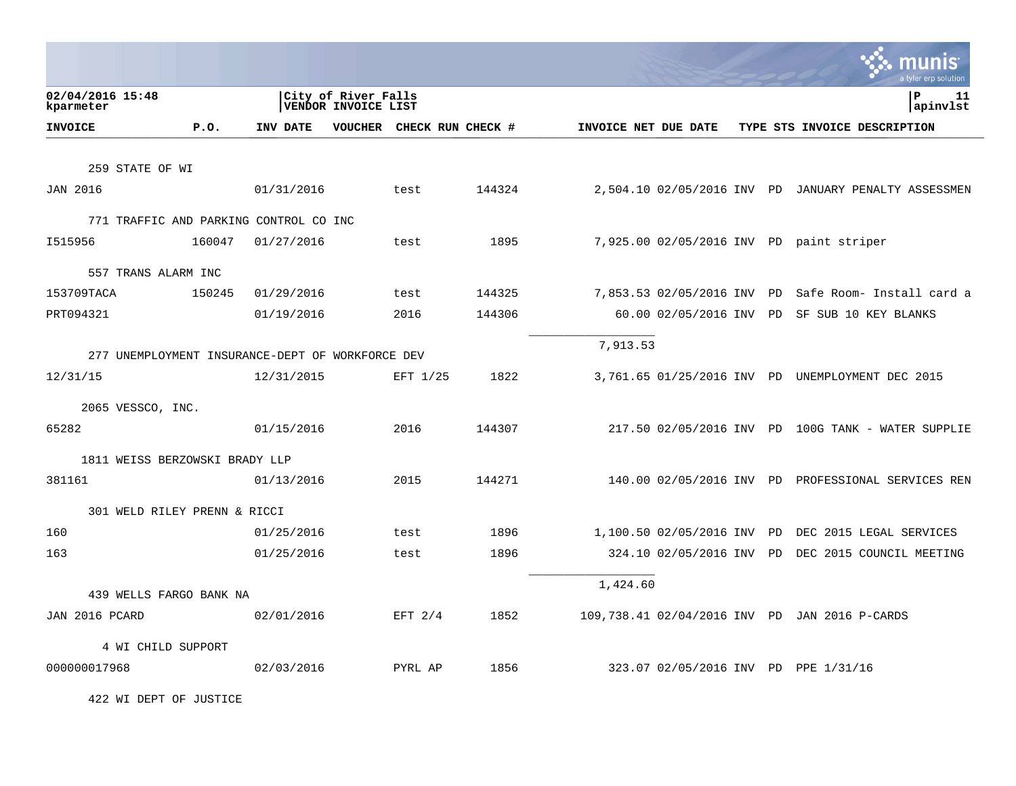|                                                  |        |            |                                            |           |        |                      |                            |  | a tyler erp solution                                 |
|--------------------------------------------------|--------|------------|--------------------------------------------|-----------|--------|----------------------|----------------------------|--|------------------------------------------------------|
| 02/04/2016 15:48<br>kparmeter                    |        |            | City of River Falls<br>VENDOR INVOICE LIST |           |        |                      |                            |  | ∣P<br>11<br>apinvlst                                 |
| <b>INVOICE</b>                                   | P.0.   | INV DATE   | VOUCHER CHECK RUN CHECK #                  |           |        | INVOICE NET DUE DATE |                            |  | TYPE STS INVOICE DESCRIPTION                         |
|                                                  |        |            |                                            |           |        |                      |                            |  |                                                      |
| 259 STATE OF WI                                  |        |            |                                            |           |        |                      |                            |  |                                                      |
| <b>JAN 2016</b>                                  |        | 01/31/2016 | test                                       |           | 144324 |                      |                            |  | 2,504.10 02/05/2016 INV PD JANUARY PENALTY ASSESSMEN |
| 771 TRAFFIC AND PARKING CONTROL CO INC           |        |            |                                            |           |        |                      |                            |  |                                                      |
| I515956                                          | 160047 | 01/27/2016 | test                                       |           | 1895   |                      |                            |  | 7,925.00 02/05/2016 INV PD paint striper             |
| 557 TRANS ALARM INC                              |        |            |                                            |           |        |                      |                            |  |                                                      |
| 153709TACA                                       | 150245 | 01/29/2016 | test                                       |           | 144325 |                      | 7,853.53 02/05/2016 INV PD |  | Safe Room- Install card a                            |
| PRT094321                                        |        | 01/19/2016 | 2016                                       |           | 144306 |                      | 60.00 02/05/2016 INV PD    |  | SF SUB 10 KEY BLANKS                                 |
|                                                  |        |            |                                            |           |        |                      |                            |  |                                                      |
| 277 UNEMPLOYMENT INSURANCE-DEPT OF WORKFORCE DEV |        |            |                                            |           |        | 7,913.53             |                            |  |                                                      |
| 12/31/15                                         |        | 12/31/2015 |                                            | EFT 1/25  | 1822   |                      |                            |  | 3,761.65 01/25/2016 INV PD UNEMPLOYMENT DEC 2015     |
| 2065 VESSCO, INC.                                |        |            |                                            |           |        |                      |                            |  |                                                      |
| 65282                                            |        | 01/15/2016 | 2016                                       |           | 144307 |                      |                            |  | 217.50 02/05/2016 INV PD 100G TANK - WATER SUPPLIE   |
|                                                  |        |            |                                            |           |        |                      |                            |  |                                                      |
| 1811 WEISS BERZOWSKI BRADY LLP                   |        |            |                                            |           |        |                      |                            |  |                                                      |
| 381161                                           |        | 01/13/2016 | 2015                                       |           | 144271 |                      |                            |  | 140.00 02/05/2016 INV PD PROFESSIONAL SERVICES REN   |
| 301 WELD RILEY PRENN & RICCI                     |        |            |                                            |           |        |                      |                            |  |                                                      |
| 160                                              |        | 01/25/2016 | test                                       |           | 1896   |                      | 1,100.50 02/05/2016 INV PD |  | DEC 2015 LEGAL SERVICES                              |
| 163                                              |        | 01/25/2016 | test                                       |           | 1896   |                      | 324.10 02/05/2016 INV PD   |  | DEC 2015 COUNCIL MEETING                             |
|                                                  |        |            |                                            |           |        | 1,424.60             |                            |  |                                                      |
| 439 WELLS FARGO BANK NA                          |        |            |                                            |           |        |                      |                            |  |                                                      |
| JAN 2016 PCARD                                   |        | 02/01/2016 |                                            | EFT $2/4$ | 1852   |                      |                            |  | 109,738.41 02/04/2016 INV PD JAN 2016 P-CARDS        |
| 4 WI CHILD SUPPORT                               |        |            |                                            |           |        |                      |                            |  |                                                      |
| 000000017968                                     |        | 02/03/2016 |                                            | PYRL AP   | 1856   |                      |                            |  | 323.07 02/05/2016 INV PD PPE 1/31/16                 |

422 WI DEPT OF JUSTICE